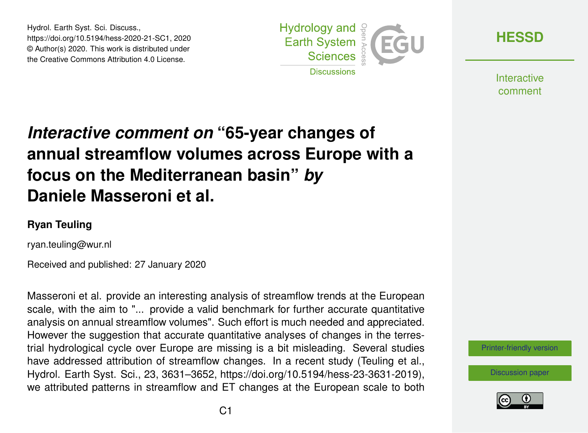Hydrol. Earth Syst. Sci. Discuss., https://doi.org/10.5194/hess-2020-21-SC1, 2020 © Author(s) 2020. This work is distributed under the Creative Commons Attribution 4.0 License.



**[HESSD](https://www.hydrol-earth-syst-sci-discuss.net/)**

**Interactive** comment

## *Interactive comment on* **"65-year changes of annual streamflow volumes across Europe with a focus on the Mediterranean basin"** *by* **Daniele Masseroni et al.**

## **Ryan Teuling**

ryan.teuling@wur.nl

Received and published: 27 January 2020

Masseroni et al. provide an interesting analysis of streamflow trends at the European scale, with the aim to "... provide a valid benchmark for further accurate quantitative analysis on annual streamflow volumes". Such effort is much needed and appreciated. However the suggestion that accurate quantitative analyses of changes in the terrestrial hydrological cycle over Europe are missing is a bit misleading. Several studies have addressed attribution of streamflow changes. In a recent study (Teuling et al., Hydrol. Earth Syst. Sci., 23, 3631–3652, https://doi.org/10.5194/hess-23-3631-2019), we attributed patterns in streamflow and ET changes at the European scale to both

[Printer-friendly version](https://www.hydrol-earth-syst-sci-discuss.net/hess-2020-21/hess-2020-21-SC1-print.pdf)

[Discussion paper](https://www.hydrol-earth-syst-sci-discuss.net/hess-2020-21)